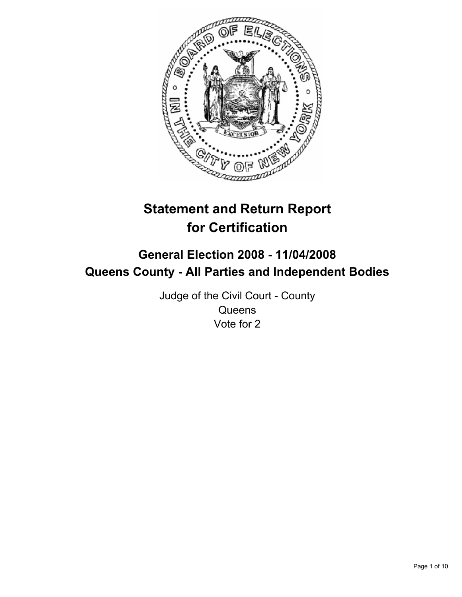

# **Statement and Return Report for Certification**

## **General Election 2008 - 11/04/2008 Queens County - All Parties and Independent Bodies**

Judge of the Civil Court - County **Queens** Vote for 2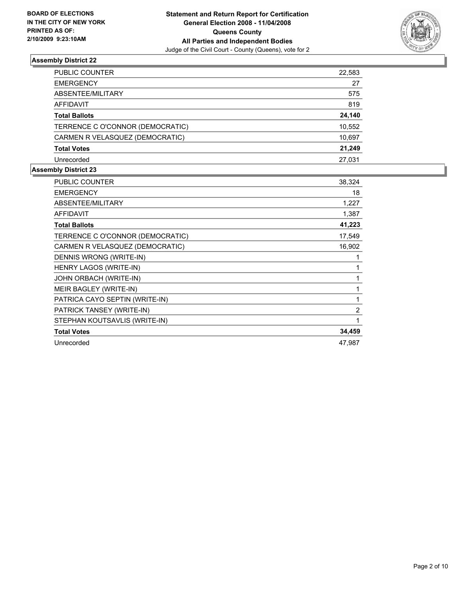

| PUBLIC COUNTER                   | 22,583 |
|----------------------------------|--------|
| <b>EMERGENCY</b>                 | 27     |
| ABSENTEE/MILITARY                | 575    |
| AFFIDAVIT                        | 819    |
| <b>Total Ballots</b>             | 24,140 |
| TERRENCE C O'CONNOR (DEMOCRATIC) | 10,552 |
| CARMEN R VELASQUEZ (DEMOCRATIC)  | 10,697 |
| <b>Total Votes</b>               | 21,249 |
| Unrecorded                       | 27.031 |

| <b>PUBLIC COUNTER</b>            | 38,324 |
|----------------------------------|--------|
| <b>EMERGENCY</b>                 | 18     |
| ABSENTEE/MILITARY                | 1,227  |
| <b>AFFIDAVIT</b>                 | 1,387  |
| <b>Total Ballots</b>             | 41,223 |
| TERRENCE C O'CONNOR (DEMOCRATIC) | 17,549 |
| CARMEN R VELASQUEZ (DEMOCRATIC)  | 16,902 |
| DENNIS WRONG (WRITE-IN)          |        |
| HENRY LAGOS (WRITE-IN)           |        |
| JOHN ORBACH (WRITE-IN)           |        |
| MEIR BAGLEY (WRITE-IN)           |        |
| PATRICA CAYO SEPTIN (WRITE-IN)   |        |
| PATRICK TANSEY (WRITE-IN)        | 2      |
| STEPHAN KOUTSAVLIS (WRITE-IN)    |        |
| <b>Total Votes</b>               | 34,459 |
| Unrecorded                       | 47,987 |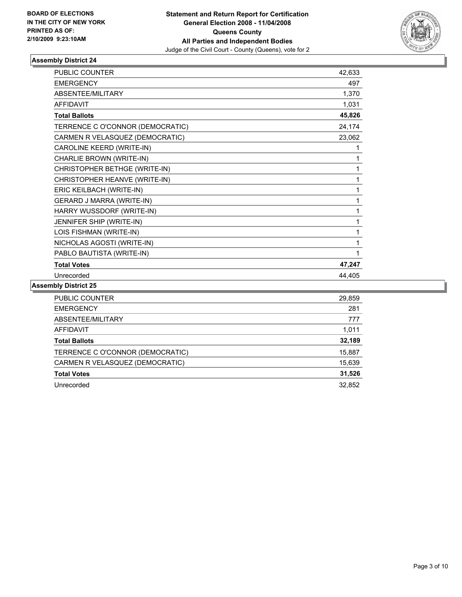

| <b>PUBLIC COUNTER</b>            | 42,633 |
|----------------------------------|--------|
| <b>EMERGENCY</b>                 | 497    |
| ABSENTEE/MILITARY                | 1,370  |
| <b>AFFIDAVIT</b>                 | 1,031  |
| <b>Total Ballots</b>             | 45,826 |
| TERRENCE C O'CONNOR (DEMOCRATIC) | 24,174 |
| CARMEN R VELASQUEZ (DEMOCRATIC)  | 23,062 |
| CAROLINE KEERD (WRITE-IN)        |        |
| CHARLIE BROWN (WRITE-IN)         |        |
| CHRISTOPHER BETHGE (WRITE-IN)    |        |
| CHRISTOPHER HEANVE (WRITE-IN)    |        |
| ERIC KEILBACH (WRITE-IN)         |        |
| GERARD J MARRA (WRITE-IN)        |        |
| HARRY WUSSDORF (WRITE-IN)        |        |
| JENNIFER SHIP (WRITE-IN)         |        |
| LOIS FISHMAN (WRITE-IN)          |        |
| NICHOLAS AGOSTI (WRITE-IN)       |        |
| PABLO BAUTISTA (WRITE-IN)        |        |
| <b>Total Votes</b>               | 47,247 |
| Unrecorded                       | 44,405 |

| PUBLIC COUNTER                   | 29,859 |
|----------------------------------|--------|
| <b>EMERGENCY</b>                 | 281    |
| ABSENTEE/MILITARY                | 777    |
| AFFIDAVIT                        | 1,011  |
| <b>Total Ballots</b>             | 32,189 |
| TERRENCE C O'CONNOR (DEMOCRATIC) | 15,887 |
| CARMEN R VELASQUEZ (DEMOCRATIC)  | 15,639 |
| <b>Total Votes</b>               | 31,526 |
| Unrecorded                       | 32,852 |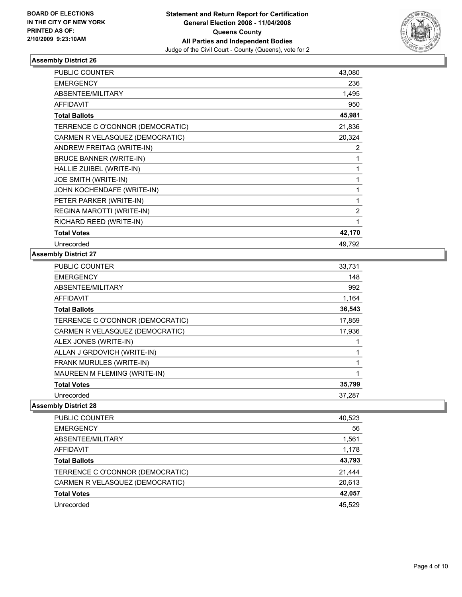

| <b>PUBLIC COUNTER</b>            | 43,080         |
|----------------------------------|----------------|
| <b>EMERGENCY</b>                 | 236            |
| <b>ABSENTEE/MILITARY</b>         | 1,495          |
| <b>AFFIDAVIT</b>                 | 950            |
| <b>Total Ballots</b>             | 45,981         |
| TERRENCE C O'CONNOR (DEMOCRATIC) | 21,836         |
| CARMEN R VELASQUEZ (DEMOCRATIC)  | 20,324         |
| ANDREW FREITAG (WRITE-IN)        | 2              |
| <b>BRUCE BANNER (WRITE-IN)</b>   |                |
| HALLIE ZUIBEL (WRITE-IN)         |                |
| JOE SMITH (WRITE-IN)             |                |
| JOHN KOCHENDAFE (WRITE-IN)       |                |
| PETER PARKER (WRITE-IN)          |                |
| REGINA MAROTTI (WRITE-IN)        | $\overline{2}$ |
| RICHARD REED (WRITE-IN)          |                |
| <b>Total Votes</b>               | 42,170         |
| Unrecorded                       | 49,792         |

#### **Assembly District 27**

| <b>PUBLIC COUNTER</b>            | 33,731 |
|----------------------------------|--------|
| <b>EMERGENCY</b>                 | 148    |
| ABSENTEE/MILITARY                | 992    |
| <b>AFFIDAVIT</b>                 | 1,164  |
| <b>Total Ballots</b>             | 36,543 |
| TERRENCE C O'CONNOR (DEMOCRATIC) | 17,859 |
| CARMEN R VELASQUEZ (DEMOCRATIC)  | 17,936 |
| ALEX JONES (WRITE-IN)            |        |
| ALLAN J GRDOVICH (WRITE-IN)      |        |
| <b>FRANK MURULES (WRITE-IN)</b>  |        |
| MAUREEN M FLEMING (WRITE-IN)     |        |
| <b>Total Votes</b>               | 35,799 |
| Unrecorded                       | 37,287 |

| <b>PUBLIC COUNTER</b>            | 40,523 |
|----------------------------------|--------|
| <b>EMERGENCY</b>                 | 56     |
| ABSENTEE/MILITARY                | 1,561  |
| AFFIDAVIT                        | 1,178  |
| <b>Total Ballots</b>             | 43,793 |
| TERRENCE C O'CONNOR (DEMOCRATIC) | 21,444 |
| CARMEN R VELASQUEZ (DEMOCRATIC)  | 20,613 |
| <b>Total Votes</b>               | 42,057 |
| Unrecorded                       | 45,529 |
|                                  |        |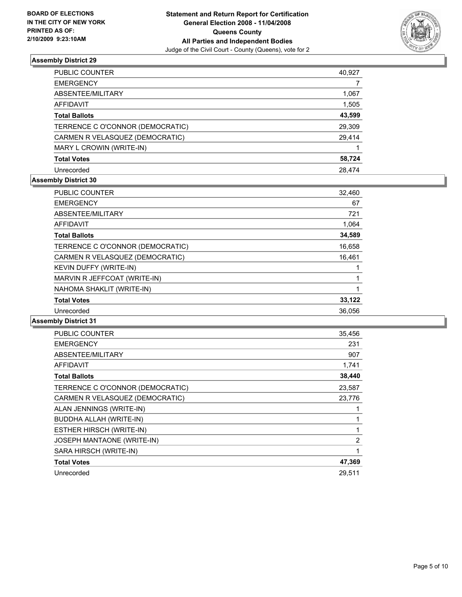

| PUBLIC COUNTER                   | 40,927 |
|----------------------------------|--------|
| <b>EMERGENCY</b>                 |        |
| ABSENTEE/MILITARY                | 1,067  |
| <b>AFFIDAVIT</b>                 | 1,505  |
| <b>Total Ballots</b>             | 43,599 |
| TERRENCE C O'CONNOR (DEMOCRATIC) | 29,309 |
| CARMEN R VELASQUEZ (DEMOCRATIC)  | 29,414 |
| MARY L CROWIN (WRITE-IN)         |        |
| <b>Total Votes</b>               | 58,724 |
| Unrecorded                       | 28.474 |

## **Assembly District 30**

| <b>PUBLIC COUNTER</b>            | 32,460 |
|----------------------------------|--------|
| <b>EMERGENCY</b>                 | 67     |
| ABSENTEE/MILITARY                | 721    |
| <b>AFFIDAVIT</b>                 | 1,064  |
| <b>Total Ballots</b>             | 34,589 |
| TERRENCE C O'CONNOR (DEMOCRATIC) | 16,658 |
| CARMEN R VELASQUEZ (DEMOCRATIC)  | 16,461 |
| KEVIN DUFFY (WRITE-IN)           |        |
| MARVIN R JEFFCOAT (WRITE-IN)     |        |
| NAHOMA SHAKLIT (WRITE-IN)        |        |
| <b>Total Votes</b>               | 33,122 |
| Unrecorded                       | 36,056 |

| <b>PUBLIC COUNTER</b>            | 35,456 |
|----------------------------------|--------|
| <b>EMERGENCY</b>                 | 231    |
| ABSENTEE/MILITARY                | 907    |
| <b>AFFIDAVIT</b>                 | 1,741  |
| <b>Total Ballots</b>             | 38,440 |
| TERRENCE C O'CONNOR (DEMOCRATIC) | 23,587 |
| CARMEN R VELASQUEZ (DEMOCRATIC)  | 23,776 |
| ALAN JENNINGS (WRITE-IN)         |        |
| <b>BUDDHA ALLAH (WRITE-IN)</b>   |        |
| ESTHER HIRSCH (WRITE-IN)         |        |
| JOSEPH MANTAONE (WRITE-IN)       | 2      |
| SARA HIRSCH (WRITE-IN)           |        |
| <b>Total Votes</b>               | 47,369 |
| Unrecorded                       | 29.511 |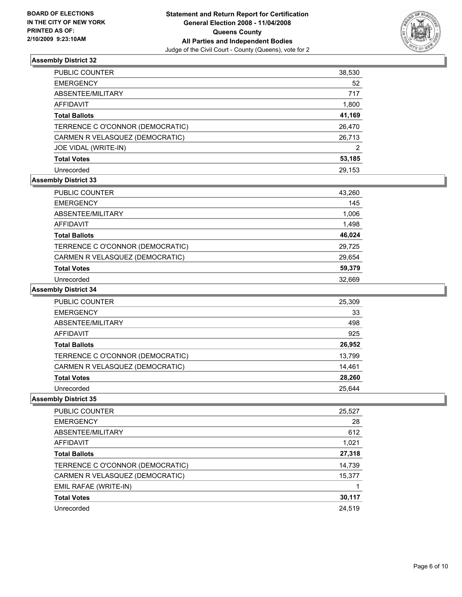

| PUBLIC COUNTER                   | 38,530 |
|----------------------------------|--------|
| EMERGENCY                        | 52     |
| ABSENTEE/MILITARY                | 717    |
| AFFIDAVIT                        | 1,800  |
| <b>Total Ballots</b>             | 41,169 |
| TERRENCE C O'CONNOR (DEMOCRATIC) | 26,470 |
| CARMEN R VELASQUEZ (DEMOCRATIC)  | 26,713 |
| JOE VIDAL (WRITE-IN)             | 2      |
| Total Votes                      | 53,185 |
| Unrecorded                       | 29,153 |

## **Assembly District 33**

| <b>PUBLIC COUNTER</b>            | 43,260 |
|----------------------------------|--------|
| <b>EMERGENCY</b>                 | 145    |
| ABSENTEE/MILITARY                | 1,006  |
| AFFIDAVIT                        | 1,498  |
| <b>Total Ballots</b>             | 46,024 |
| TERRENCE C O'CONNOR (DEMOCRATIC) | 29,725 |
| CARMEN R VELASQUEZ (DEMOCRATIC)  | 29,654 |
| <b>Total Votes</b>               | 59,379 |
| Unrecorded                       | 32.669 |

**Assembly District 34**

| PUBLIC COUNTER                   | 25,309 |
|----------------------------------|--------|
| <b>EMERGENCY</b>                 | 33     |
| ABSENTEE/MILITARY                | 498    |
| <b>AFFIDAVIT</b>                 | 925    |
| <b>Total Ballots</b>             | 26,952 |
| TERRENCE C O'CONNOR (DEMOCRATIC) | 13,799 |
| CARMEN R VELASQUEZ (DEMOCRATIC)  | 14,461 |
| <b>Total Votes</b>               | 28,260 |
| Unrecorded                       | 25.644 |

| PUBLIC COUNTER<br>25,527                   |
|--------------------------------------------|
| 28<br><b>EMERGENCY</b>                     |
| ABSENTEE/MILITARY<br>612                   |
| 1,021<br><b>AFFIDAVIT</b>                  |
| 27,318<br><b>Total Ballots</b>             |
| TERRENCE C O'CONNOR (DEMOCRATIC)<br>14,739 |
| CARMEN R VELASQUEZ (DEMOCRATIC)<br>15,377  |
| EMIL RAFAE (WRITE-IN)                      |
| 30,117<br><b>Total Votes</b>               |
| 24,519<br>Unrecorded                       |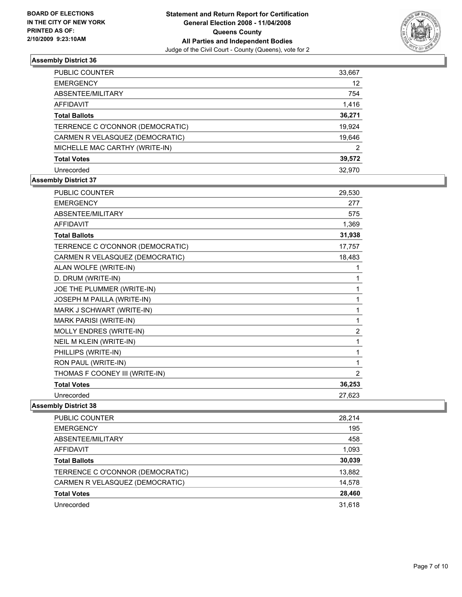

| PUBLIC COUNTER                   | 33,667 |
|----------------------------------|--------|
| <b>EMERGENCY</b>                 | 12     |
| ABSENTEE/MILITARY                | 754    |
| <b>AFFIDAVIT</b>                 | 1,416  |
| <b>Total Ballots</b>             | 36,271 |
| TERRENCE C O'CONNOR (DEMOCRATIC) | 19,924 |
| CARMEN R VELASQUEZ (DEMOCRATIC)  | 19,646 |
| MICHELLE MAC CARTHY (WRITE-IN)   | 2      |
| <b>Total Votes</b>               | 39,572 |
| Unrecorded                       | 32.970 |

## **Assembly District 37**

| <b>PUBLIC COUNTER</b>            | 29,530         |
|----------------------------------|----------------|
| <b>EMERGENCY</b>                 | 277            |
| ABSENTEE/MILITARY                | 575            |
| <b>AFFIDAVIT</b>                 | 1,369          |
| <b>Total Ballots</b>             | 31,938         |
| TERRENCE C O'CONNOR (DEMOCRATIC) | 17,757         |
| CARMEN R VELASQUEZ (DEMOCRATIC)  | 18,483         |
| ALAN WOLFE (WRITE-IN)            |                |
| D. DRUM (WRITE-IN)               |                |
| JOE THE PLUMMER (WRITE-IN)       |                |
| JOSEPH M PAILLA (WRITE-IN)       |                |
| MARK J SCHWART (WRITE-IN)        |                |
| <b>MARK PARISI (WRITE-IN)</b>    |                |
| MOLLY ENDRES (WRITE-IN)          | $\overline{2}$ |
| NEIL M KLEIN (WRITE-IN)          |                |
| PHILLIPS (WRITE-IN)              |                |
| RON PAUL (WRITE-IN)              |                |
| THOMAS F COONEY III (WRITE-IN)   | 2              |
| <b>Total Votes</b>               | 36,253         |
| Unrecorded                       | 27,623         |

| PUBLIC COUNTER                   | 28,214 |
|----------------------------------|--------|
| <b>EMERGENCY</b>                 | 195    |
| ABSENTEE/MILITARY                | 458    |
| AFFIDAVIT                        | 1,093  |
| <b>Total Ballots</b>             | 30,039 |
| TERRENCE C O'CONNOR (DEMOCRATIC) | 13,882 |
| CARMEN R VELASQUEZ (DEMOCRATIC)  | 14,578 |
| <b>Total Votes</b>               | 28,460 |
| Unrecorded                       | 31,618 |
|                                  |        |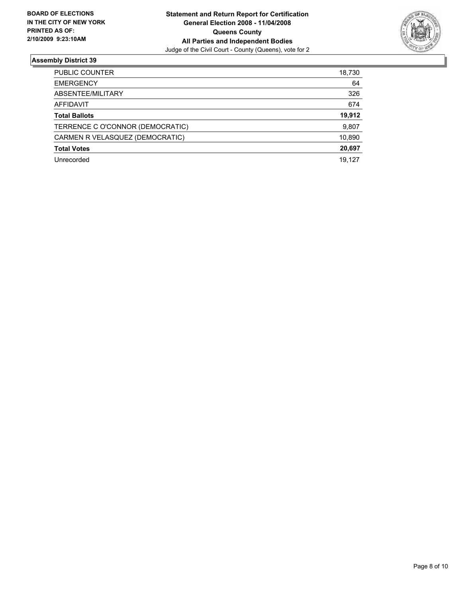

| PUBLIC COUNTER                   | 18,730 |
|----------------------------------|--------|
| <b>EMERGENCY</b>                 | 64     |
| ABSENTEE/MILITARY                | 326    |
| <b>AFFIDAVIT</b>                 | 674    |
| <b>Total Ballots</b>             | 19,912 |
| TERRENCE C O'CONNOR (DEMOCRATIC) | 9,807  |
| CARMEN R VELASQUEZ (DEMOCRATIC)  | 10,890 |
| <b>Total Votes</b>               | 20,697 |
| Unrecorded                       | 19,127 |
|                                  |        |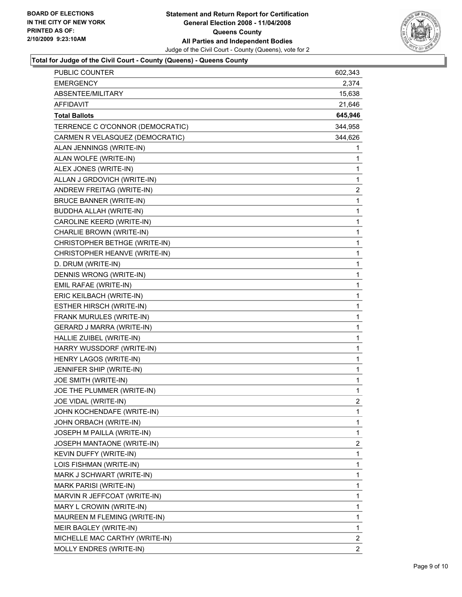

## **Total for Judge of the Civil Court - County (Queens) - Queens County**

| 2,374<br><b>EMERGENCY</b><br>15,638<br>ABSENTEE/MILITARY<br>21,646<br><b>AFFIDAVIT</b><br>645,946<br><b>Total Ballots</b><br>TERRENCE C O'CONNOR (DEMOCRATIC)<br>344,958<br>CARMEN R VELASQUEZ (DEMOCRATIC)<br>344,626<br>ALAN JENNINGS (WRITE-IN)<br>1<br>ALAN WOLFE (WRITE-IN)<br>1<br>1<br>ALEX JONES (WRITE-IN)<br>ALLAN J GRDOVICH (WRITE-IN)<br>1<br>$\overline{c}$<br>ANDREW FREITAG (WRITE-IN)<br>1<br><b>BRUCE BANNER (WRITE-IN)</b><br>1<br>BUDDHA ALLAH (WRITE-IN)<br>1<br>CAROLINE KEERD (WRITE-IN)<br>1<br>CHARLIE BROWN (WRITE-IN)<br>1<br>CHRISTOPHER BETHGE (WRITE-IN)<br>1<br>CHRISTOPHER HEANVE (WRITE-IN)<br>1<br>D. DRUM (WRITE-IN)<br>1<br>DENNIS WRONG (WRITE-IN)<br>1<br>EMIL RAFAE (WRITE-IN)<br>1<br>ERIC KEILBACH (WRITE-IN)<br>1<br>ESTHER HIRSCH (WRITE-IN)<br>1<br>FRANK MURULES (WRITE-IN)<br>1<br>GERARD J MARRA (WRITE-IN)<br>1<br>HALLIE ZUIBEL (WRITE-IN)<br>1<br>HARRY WUSSDORF (WRITE-IN)<br>1<br>HENRY LAGOS (WRITE-IN)<br>1<br>JENNIFER SHIP (WRITE-IN)<br>1<br>JOE SMITH (WRITE-IN)<br>JOE THE PLUMMER (WRITE-IN)<br>1 |
|---------------------------------------------------------------------------------------------------------------------------------------------------------------------------------------------------------------------------------------------------------------------------------------------------------------------------------------------------------------------------------------------------------------------------------------------------------------------------------------------------------------------------------------------------------------------------------------------------------------------------------------------------------------------------------------------------------------------------------------------------------------------------------------------------------------------------------------------------------------------------------------------------------------------------------------------------------------------------------------------------------------------------------------------------------------|
|                                                                                                                                                                                                                                                                                                                                                                                                                                                                                                                                                                                                                                                                                                                                                                                                                                                                                                                                                                                                                                                               |
|                                                                                                                                                                                                                                                                                                                                                                                                                                                                                                                                                                                                                                                                                                                                                                                                                                                                                                                                                                                                                                                               |
|                                                                                                                                                                                                                                                                                                                                                                                                                                                                                                                                                                                                                                                                                                                                                                                                                                                                                                                                                                                                                                                               |
|                                                                                                                                                                                                                                                                                                                                                                                                                                                                                                                                                                                                                                                                                                                                                                                                                                                                                                                                                                                                                                                               |
|                                                                                                                                                                                                                                                                                                                                                                                                                                                                                                                                                                                                                                                                                                                                                                                                                                                                                                                                                                                                                                                               |
|                                                                                                                                                                                                                                                                                                                                                                                                                                                                                                                                                                                                                                                                                                                                                                                                                                                                                                                                                                                                                                                               |
|                                                                                                                                                                                                                                                                                                                                                                                                                                                                                                                                                                                                                                                                                                                                                                                                                                                                                                                                                                                                                                                               |
|                                                                                                                                                                                                                                                                                                                                                                                                                                                                                                                                                                                                                                                                                                                                                                                                                                                                                                                                                                                                                                                               |
|                                                                                                                                                                                                                                                                                                                                                                                                                                                                                                                                                                                                                                                                                                                                                                                                                                                                                                                                                                                                                                                               |
|                                                                                                                                                                                                                                                                                                                                                                                                                                                                                                                                                                                                                                                                                                                                                                                                                                                                                                                                                                                                                                                               |
|                                                                                                                                                                                                                                                                                                                                                                                                                                                                                                                                                                                                                                                                                                                                                                                                                                                                                                                                                                                                                                                               |
|                                                                                                                                                                                                                                                                                                                                                                                                                                                                                                                                                                                                                                                                                                                                                                                                                                                                                                                                                                                                                                                               |
|                                                                                                                                                                                                                                                                                                                                                                                                                                                                                                                                                                                                                                                                                                                                                                                                                                                                                                                                                                                                                                                               |
|                                                                                                                                                                                                                                                                                                                                                                                                                                                                                                                                                                                                                                                                                                                                                                                                                                                                                                                                                                                                                                                               |
|                                                                                                                                                                                                                                                                                                                                                                                                                                                                                                                                                                                                                                                                                                                                                                                                                                                                                                                                                                                                                                                               |
|                                                                                                                                                                                                                                                                                                                                                                                                                                                                                                                                                                                                                                                                                                                                                                                                                                                                                                                                                                                                                                                               |
|                                                                                                                                                                                                                                                                                                                                                                                                                                                                                                                                                                                                                                                                                                                                                                                                                                                                                                                                                                                                                                                               |
|                                                                                                                                                                                                                                                                                                                                                                                                                                                                                                                                                                                                                                                                                                                                                                                                                                                                                                                                                                                                                                                               |
|                                                                                                                                                                                                                                                                                                                                                                                                                                                                                                                                                                                                                                                                                                                                                                                                                                                                                                                                                                                                                                                               |
|                                                                                                                                                                                                                                                                                                                                                                                                                                                                                                                                                                                                                                                                                                                                                                                                                                                                                                                                                                                                                                                               |
|                                                                                                                                                                                                                                                                                                                                                                                                                                                                                                                                                                                                                                                                                                                                                                                                                                                                                                                                                                                                                                                               |
|                                                                                                                                                                                                                                                                                                                                                                                                                                                                                                                                                                                                                                                                                                                                                                                                                                                                                                                                                                                                                                                               |
|                                                                                                                                                                                                                                                                                                                                                                                                                                                                                                                                                                                                                                                                                                                                                                                                                                                                                                                                                                                                                                                               |
|                                                                                                                                                                                                                                                                                                                                                                                                                                                                                                                                                                                                                                                                                                                                                                                                                                                                                                                                                                                                                                                               |
|                                                                                                                                                                                                                                                                                                                                                                                                                                                                                                                                                                                                                                                                                                                                                                                                                                                                                                                                                                                                                                                               |
|                                                                                                                                                                                                                                                                                                                                                                                                                                                                                                                                                                                                                                                                                                                                                                                                                                                                                                                                                                                                                                                               |
|                                                                                                                                                                                                                                                                                                                                                                                                                                                                                                                                                                                                                                                                                                                                                                                                                                                                                                                                                                                                                                                               |
|                                                                                                                                                                                                                                                                                                                                                                                                                                                                                                                                                                                                                                                                                                                                                                                                                                                                                                                                                                                                                                                               |
|                                                                                                                                                                                                                                                                                                                                                                                                                                                                                                                                                                                                                                                                                                                                                                                                                                                                                                                                                                                                                                                               |
|                                                                                                                                                                                                                                                                                                                                                                                                                                                                                                                                                                                                                                                                                                                                                                                                                                                                                                                                                                                                                                                               |
| $\overline{2}$<br>JOE VIDAL (WRITE-IN)                                                                                                                                                                                                                                                                                                                                                                                                                                                                                                                                                                                                                                                                                                                                                                                                                                                                                                                                                                                                                        |
| $\mathbf 1$<br>JOHN KOCHENDAFE (WRITE-IN)                                                                                                                                                                                                                                                                                                                                                                                                                                                                                                                                                                                                                                                                                                                                                                                                                                                                                                                                                                                                                     |
| JOHN ORBACH (WRITE-IN)<br>1                                                                                                                                                                                                                                                                                                                                                                                                                                                                                                                                                                                                                                                                                                                                                                                                                                                                                                                                                                                                                                   |
| 1<br>JOSEPH M PAILLA (WRITE-IN)                                                                                                                                                                                                                                                                                                                                                                                                                                                                                                                                                                                                                                                                                                                                                                                                                                                                                                                                                                                                                               |
| $\overline{2}$<br>JOSEPH MANTAONE (WRITE-IN)                                                                                                                                                                                                                                                                                                                                                                                                                                                                                                                                                                                                                                                                                                                                                                                                                                                                                                                                                                                                                  |
| 1<br>KEVIN DUFFY (WRITE-IN)                                                                                                                                                                                                                                                                                                                                                                                                                                                                                                                                                                                                                                                                                                                                                                                                                                                                                                                                                                                                                                   |
| 1<br>LOIS FISHMAN (WRITE-IN)                                                                                                                                                                                                                                                                                                                                                                                                                                                                                                                                                                                                                                                                                                                                                                                                                                                                                                                                                                                                                                  |
| 1<br>MARK J SCHWART (WRITE-IN)                                                                                                                                                                                                                                                                                                                                                                                                                                                                                                                                                                                                                                                                                                                                                                                                                                                                                                                                                                                                                                |
| 1<br>MARK PARISI (WRITE-IN)                                                                                                                                                                                                                                                                                                                                                                                                                                                                                                                                                                                                                                                                                                                                                                                                                                                                                                                                                                                                                                   |
| MARVIN R JEFFCOAT (WRITE-IN)<br>1                                                                                                                                                                                                                                                                                                                                                                                                                                                                                                                                                                                                                                                                                                                                                                                                                                                                                                                                                                                                                             |
| 1<br>MARY L CROWIN (WRITE-IN)                                                                                                                                                                                                                                                                                                                                                                                                                                                                                                                                                                                                                                                                                                                                                                                                                                                                                                                                                                                                                                 |
| 1<br>MAUREEN M FLEMING (WRITE-IN)                                                                                                                                                                                                                                                                                                                                                                                                                                                                                                                                                                                                                                                                                                                                                                                                                                                                                                                                                                                                                             |
| MEIR BAGLEY (WRITE-IN)<br>1                                                                                                                                                                                                                                                                                                                                                                                                                                                                                                                                                                                                                                                                                                                                                                                                                                                                                                                                                                                                                                   |
| $\overline{c}$<br>MICHELLE MAC CARTHY (WRITE-IN)                                                                                                                                                                                                                                                                                                                                                                                                                                                                                                                                                                                                                                                                                                                                                                                                                                                                                                                                                                                                              |
| $\overline{2}$<br>MOLLY ENDRES (WRITE-IN)                                                                                                                                                                                                                                                                                                                                                                                                                                                                                                                                                                                                                                                                                                                                                                                                                                                                                                                                                                                                                     |